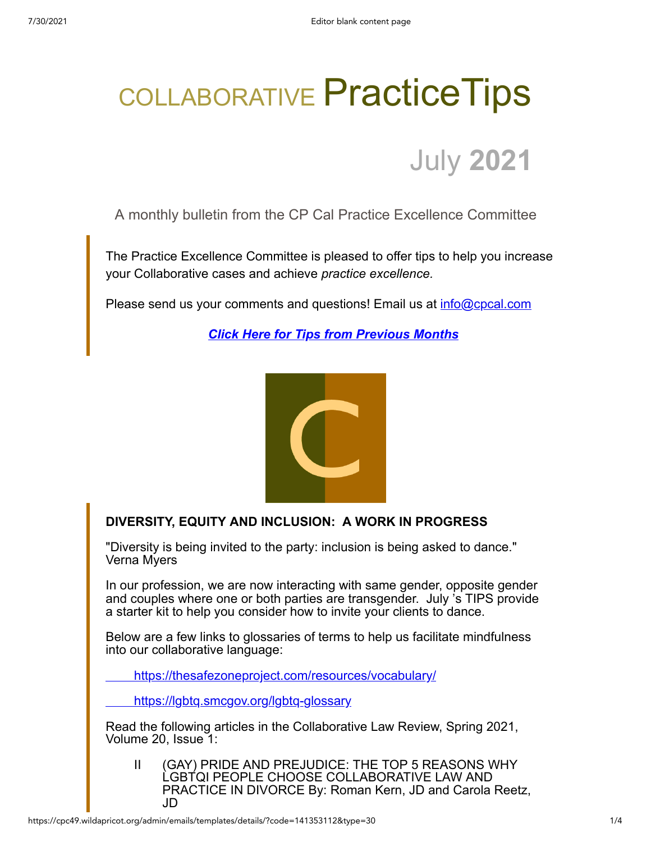## COLLABORATIVE Practice Tips



A monthly bulletin from the CP Cal Practice Excellence Committee

The Practice Excellence Committee is pleased to offer tips to help you increase your Collaborative cases and achieve *practice excellence.*

Please send us your comments and questions! Email us at [info@cpcal.com](mailto:info@cpcal.com)

*[Click Here for Tips from Previous Months](http://www.cpcal.com/for-professionals/practice-tips-newsletter/)*



## **DIVERSITY, EQUITY AND INCLUSION: A WORK IN PROGRESS**

"Diversity is being invited to the party: inclusion is being asked to dance." Verna Myers

In our profession, we are now interacting with same gender, opposite gender and couples where one or both parties are transgender. July 's TIPS provide a starter kit to help you consider how to invite your clients to dance.

Below are a few links to glossaries of terms to help us facilitate mindfulness into our collaborative language:

<https://thesafezoneproject.com/resources/vocabulary/>

<https://lgbtq.smcgov.org/lgbtq-glossary>

Read the following articles in the Collaborative Law Review, Spring 2021, Volume 20, Issue 1:

II (GAY) PRIDE AND PREJUDICE: THE TOP 5 REASONS WHY LGBTQI PEOPLE CHOOSE COLLABORATIVE LAW AND PRACTICE IN DIVORCE By: Roman Kern, JD and Carola Reetz, JD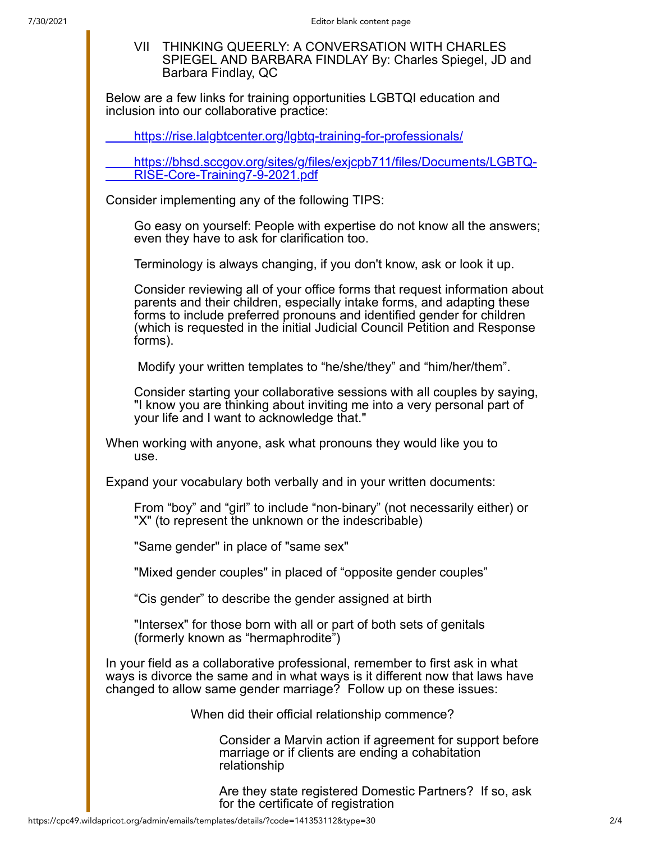VII THINKING QUEERLY: A CONVERSATION WITH CHARLES SPIEGEL AND BARBARA FINDLAY By: Charles Spiegel, JD and Barbara Findlay, QC

Below are a few links for training opportunities LGBTQI education and inclusion into our collaborative practice:

<https://rise.lalgbtcenter.org/lgbtq-training-for-professionals/>

[https://bhsd.sccgov.org/sites/g/files/exjcpb711/files/Documents/LGBTQ-](https://bhsd.sccgov.org/sites/g/files/exjcpb711/files/Documents/LGBTQ-RISE-Core-Training7-9-2021.pdf)RISE-Core-Training7-9-2021.pdf

Consider implementing any of the following TIPS:

Go easy on yourself: People with expertise do not know all the answers; even they have to ask for clarification too.

Terminology is always changing, if you don't know, ask or look it up.

Consider reviewing all of your office forms that request information about parents and their children, especially intake forms, and adapting these forms to include preferred pronouns and identified gender for children (which is requested in the initial Judicial Council Petition and Response forms).

Modify your written templates to "he/she/they" and "him/her/them".

Consider starting your collaborative sessions with all couples by saying, "I know you are thinking about inviting me into a very personal part of your life and I want to acknowledge that."

When working with anyone, ask what pronouns they would like you to use.

Expand your vocabulary both verbally and in your written documents:

From "boy" and "girl" to include "non-binary" (not necessarily either) or "X" (to represent the unknown or the indescribable)

"Same gender" in place of "same sex"

"Mixed gender couples" in placed of "opposite gender couples"

"Cis gender" to describe the gender assigned at birth

"Intersex" for those born with all or part of both sets of genitals (formerly known as "hermaphrodite")

In your field as a collaborative professional, remember to first ask in what ways is divorce the same and in what ways is it different now that laws have changed to allow same gender marriage? Follow up on these issues:

When did their official relationship commence?

Consider a Marvin action if agreement for support before marriage or if clients are ending a cohabitation relationship

Are they state registered Domestic Partners? If so, ask for the certificate of registration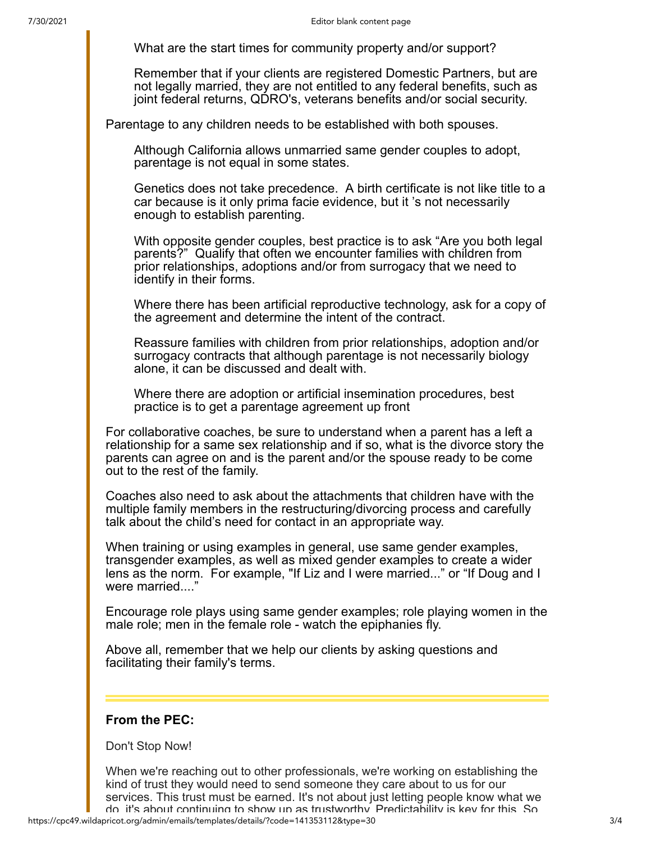What are the start times for community property and/or support?

Remember that if your clients are registered Domestic Partners, but are not legally married, they are not entitled to any federal benefits, such as joint federal returns, QDRO's, veterans benefits and/or social security.

Parentage to any children needs to be established with both spouses.

Although California allows unmarried same gender couples to adopt, parentage is not equal in some states.

Genetics does not take precedence. A birth certificate is not like title to a car because is it only prima facie evidence, but it 's not necessarily enough to establish parenting.

With opposite gender couples, best practice is to ask "Are you both legal parents?" Qualify that often we encounter families with children from prior relationships, adoptions and/or from surrogacy that we need to identify in their forms.

Where there has been artificial reproductive technology, ask for a copy of the agreement and determine the intent of the contract.

Reassure families with children from prior relationships, adoption and/or surrogacy contracts that although parentage is not necessarily biology alone, it can be discussed and dealt with.

Where there are adoption or artificial insemination procedures, best practice is to get a parentage agreement up front

For collaborative coaches, be sure to understand when a parent has a left a relationship for a same sex relationship and if so, what is the divorce story the parents can agree on and is the parent and/or the spouse ready to be come out to the rest of the family.

Coaches also need to ask about the attachments that children have with the multiple family members in the restructuring/divorcing process and carefully talk about the child's need for contact in an appropriate way.

When training or using examples in general, use same gender examples, transgender examples, as well as mixed gender examples to create a wider lens as the norm. For example, "If Liz and I were married..." or "If Doug and I were married...."

Encourage role plays using same gender examples; role playing women in the male role; men in the female role - watch the epiphanies fly.

Above all, remember that we help our clients by asking questions and facilitating their family's terms.

## **From the PEC:**

Don't Stop Now!

When we're reaching out to other professionals, we're working on establishing the kind of trust they would need to send someone they care about to us for our services. This trust must be earned. It's not about just letting people know what we do it's about continuing to show up as trustworthy Predictability is key for this So